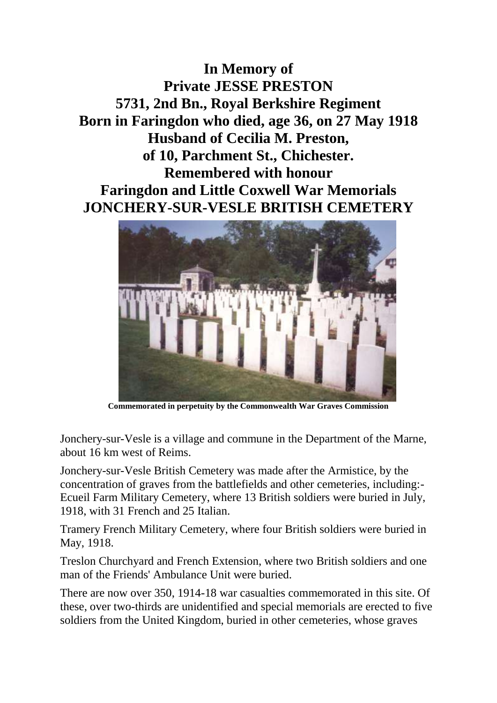**In Memory of Private JESSE PRESTON 5731, 2nd Bn., Royal Berkshire Regiment Born in Faringdon who died, age 36, on 27 May 1918 Husband of Cecilia M. Preston, of 10, Parchment St., Chichester. Remembered with honour Faringdon and Little Coxwell War Memorials JONCHERY-SUR-VESLE BRITISH CEMETERY**



**Commemorated in perpetuity by the Commonwealth War Graves Commission** 

Jonchery-sur-Vesle is a village and commune in the Department of the Marne, about 16 km west of Reims.

Jonchery-sur-Vesle British Cemetery was made after the Armistice, by the concentration of graves from the battlefields and other cemeteries, including:- Ecueil Farm Military Cemetery, where 13 British soldiers were buried in July, 1918, with 31 French and 25 Italian.

Tramery French Military Cemetery, where four British soldiers were buried in May, 1918.

Treslon Churchyard and French Extension, where two British soldiers and one man of the Friends' Ambulance Unit were buried.

There are now over 350, 1914-18 war casualties commemorated in this site. Of these, over two-thirds are unidentified and special memorials are erected to five soldiers from the United Kingdom, buried in other cemeteries, whose graves